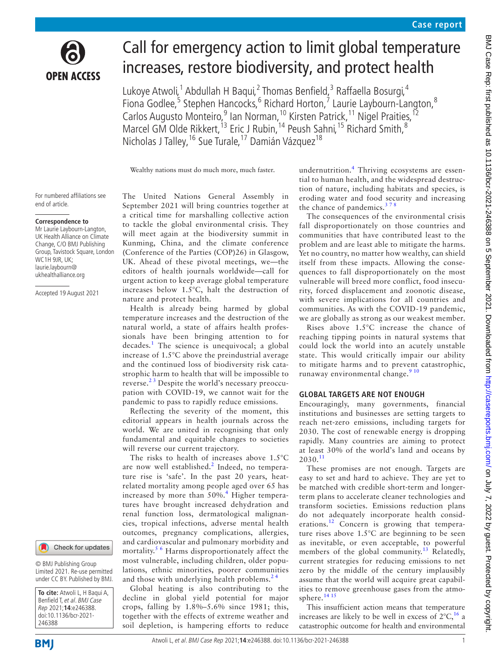

# Call for emergency action to limit global temperature increases, restore biodiversity, and protect health

Lukoye Atwoli,<sup>1</sup> Abdullah H Baqui,<sup>2</sup> Thomas Benfield,<sup>3</sup> Raffaella Bosurgi,<sup>4</sup> Fiona Godlee,<sup>5</sup> Stephen Hancocks,<sup>6</sup> Richard Horton,<sup>7</sup> Laurie Laybourn-Langton,<sup>8</sup> Carlos Augusto Monteiro, <sup>9</sup> Ian Norman, <sup>10</sup> Kirsten Patrick, <sup>11</sup> Nigel Praities, <sup>12</sup> Marcel GM Olde Rikkert,<sup>13</sup> Eric J Rubin,<sup>14</sup> Peush Sahni,<sup>15</sup> Richard Smith,<sup>8</sup> Nicholas J Talley, <sup>16</sup> Sue Turale, <sup>17</sup> Damián Vázquez<sup>18</sup>

Wealthy nations must do much more, much faster.

For numbered affiliations see end of article.

#### **Correspondence to**

Mr Laurie Laybourn-Langton, UK Health Alliance on Climate Change, C/O BMJ Publishing Group, Tavistock Square, London WC1H 9JR, UK; laurie.laybourn@ ukhealthalliance.org

Accepted 19 August 2021



© BMJ Publishing Group Limited 2021. Re-use permitted under CC BY. Published by BMJ.

**To cite:** Atwoli L, H Baqui A, Benfield T, et al. BMJ Case Rep 2021;**14**:e246388. doi:10.1136/bcr-2021- 246388

The United Nations General Assembly in September 2021 will bring countries together at a critical time for marshalling collective action to tackle the global environmental crisis. They will meet again at the biodiversity summit in Kunming, China, and the climate conference (Conference of the Parties (COP)26) in Glasgow, UK. Ahead of these pivotal meetings, we—the editors of health journals worldwide—call for urgent action to keep average global temperature increases below 1.5°C, halt the destruction of nature and protect health.

Health is already being harmed by global temperature increases and the destruction of the natural world, a state of affairs health professionals have been bringing attention to for decades.[1](#page-1-0) The science is unequivocal; a global increase of 1.5°C above the preindustrial average and the continued loss of biodiversity risk catastrophic harm to health that will be impossible to reverse.[2 3](#page-1-1) Despite the world's necessary preoccupation with COVID-19, we cannot wait for the pandemic to pass to rapidly reduce emissions.

Reflecting the severity of the moment, this editorial appears in health journals across the world. We are united in recognising that only fundamental and equitable changes to societies will reverse our current trajectory.

The risks to health of increases above 1.5°C are now well established.<sup>[2](#page-1-1)</sup> Indeed, no temperature rise is 'safe'. In the past 20 years, heatrelated mortality among people aged over 65 has increased by more than 50%.<sup>[4](#page-2-0)</sup> Higher temperatures have brought increased dehydration and renal function loss, dermatological malignancies, tropical infections, adverse mental health outcomes, pregnancy complications, allergies, and cardiovascular and pulmonary morbidity and mortality.<sup>5 6</sup> Harms disproportionately affect the most vulnerable, including children, older populations, ethnic minorities, poorer communities and those with underlying health problems. $24$ 

Global heating is also contributing to the decline in global yield potential for major crops, falling by 1.8%–5.6% since 1981; this, together with the effects of extreme weather and soil depletion, is hampering efforts to reduce undernutrition.<sup>[4](#page-2-0)</sup> Thriving ecosystems are essential to human health, and the widespread destruction of nature, including habitats and species, is eroding water and food security and increasing the chance of pandemics. $378$ 

The consequences of the environmental crisis fall disproportionately on those countries and communities that have contributed least to the problem and are least able to mitigate the harms. Yet no country, no matter how wealthy, can shield itself from these impacts. Allowing the consequences to fall disproportionately on the most vulnerable will breed more conflict, food insecurity, forced displacement and zoonotic disease, with severe implications for all countries and communities. As with the COVID-19 pandemic, we are globally as strong as our weakest member.

Rises above 1.5°C increase the chance of reaching tipping points in natural systems that could lock the world into an acutely unstable state. This would critically impair our ability to mitigate harms and to prevent catastrophic, runaway environmental change.<sup>[9 10](#page-2-3)</sup>

### **GLOBAL TARGETS ARE NOT ENOUGH**

Encouragingly, many governments, financial institutions and businesses are setting targets to reach net-zero emissions, including targets for 2030. The cost of renewable energy is dropping rapidly. Many countries are aiming to protect at least 30% of the world's land and oceans by  $2030.<sup>11</sup>$  $2030.<sup>11</sup>$  $2030.<sup>11</sup>$ 

These promises are not enough. Targets are easy to set and hard to achieve. They are yet to be matched with credible short-term and longerterm plans to accelerate cleaner technologies and transform societies. Emissions reduction plans do not adequately incorporate health considerations.<sup>12</sup> Concern is growing that temperature rises above 1.5°C are beginning to be seen as inevitable, or even acceptable, to powerful members of the global community.<sup>13</sup> Relatedly, current strategies for reducing emissions to net zero by the middle of the century implausibly assume that the world will acquire great capabilities to remove greenhouse gases from the atmo-sphere.<sup>[14 15](#page-2-7)</sup>

This insufficient action means that temperature increases are likely to be well in excess of  $2^{\circ}C$ , <sup>16</sup> a catastrophic outcome for health and environmental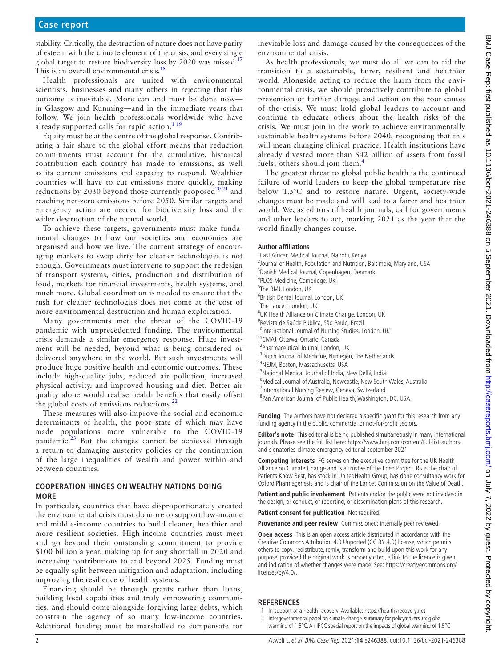stability. Critically, the destruction of nature does not have parity of esteem with the climate element of the crisis, and every single global target to restore biodiversity loss by 2020 was missed.<sup>1</sup> This is an overall environmental crisis.<sup>18</sup>

Health professionals are united with environmental scientists, businesses and many others in rejecting that this outcome is inevitable. More can and must be done now in Glasgow and Kunming—and in the immediate years that follow. We join health professionals worldwide who have already supported calls for rapid action.<sup>[1 19](#page-1-0)</sup>

Equity must be at the centre of the global response. Contributing a fair share to the global effort means that reduction commitments must account for the cumulative, historical contribution each country has made to emissions, as well as its current emissions and capacity to respond. Wealthier countries will have to cut emissions more quickly, making reductions by 2030 beyond those currently proposed<sup>[20 21](#page-2-11)</sup> and reaching net-zero emissions before 2050. Similar targets and emergency action are needed for biodiversity loss and the wider destruction of the natural world.

To achieve these targets, governments must make fundamental changes to how our societies and economies are organised and how we live. The current strategy of encouraging markets to swap dirty for cleaner technologies is not enough. Governments must intervene to support the redesign of transport systems, cities, production and distribution of food, markets for financial investments, health systems, and much more. Global coordination is needed to ensure that the rush for cleaner technologies does not come at the cost of more environmental destruction and human exploitation.

Many governments met the threat of the COVID-19 pandemic with unprecedented funding. The environmental crisis demands a similar emergency response. Huge investment will be needed, beyond what is being considered or delivered anywhere in the world. But such investments will produce huge positive health and economic outcomes. These include high-quality jobs, reduced air pollution, increased physical activity, and improved housing and diet. Better air quality alone would realise health benefits that easily offset the global costs of emissions reductions.<sup>[22](#page-2-12)</sup>

These measures will also improve the social and economic determinants of health, the poor state of which may have made populations more vulnerable to the COVID-19 pandemic. $^{23}$  But the changes cannot be achieved through a return to damaging austerity policies or the continuation of the large inequalities of wealth and power within and between countries.

## **COOPERATION HINGES ON WEALTHY NATIONS DOING MORE**

In particular, countries that have disproportionately created the environmental crisis must do more to support low-income and middle-income countries to build cleaner, healthier and more resilient societies. High-income countries must meet and go beyond their outstanding commitment to provide \$100 billion a year, making up for any shortfall in 2020 and increasing contributions to and beyond 2025. Funding must be equally split between mitigation and adaptation, including improving the resilience of health systems.

Financing should be through grants rather than loans, building local capabilities and truly empowering communities, and should come alongside forgiving large debts, which constrain the agency of so many low-income countries. Additional funding must be marshalled to compensate for

inevitable loss and damage caused by the consequences of the environmental crisis.

As health professionals, we must do all we can to aid the transition to a sustainable, fairer, resilient and healthier world. Alongside acting to reduce the harm from the environmental crisis, we should proactively contribute to global prevention of further damage and action on the root causes of the crisis. We must hold global leaders to account and continue to educate others about the health risks of the crisis. We must join in the work to achieve environmentally sustainable health systems before 2040, recognising that this will mean changing clinical practice. Health institutions have already divested more than \$42 billion of assets from fossil fuels; others should join them.<sup>[4](#page-2-0)</sup>

The greatest threat to global public health is the continued failure of world leaders to keep the global temperature rise below 1.5°C and to restore nature. Urgent, society-wide changes must be made and will lead to a fairer and healthier world. We, as editors of health journals, call for governments and other leaders to act, marking 2021 as the year that the world finally changes course.

#### **Author affiliations**

- 1 East African Medical Journal, Nairobi, Kenya <sup>2</sup> Journal of Health, Population and Nutrition, Baltimore, Maryland, USA <sup>3</sup>Danish Medical Journal, Copenhagen, Denmark 4 PLOS Medicine, Cambridge, UK 5 The BMJ, London, UK 6 British Dental Journal, London, UK <sup>7</sup>The Lancet, London, UK <sup>8</sup>UK Health Alliance on Climate Change, London, UK 9 Revista de Saúde Pública, São Paulo, Brazil <sup>10</sup>International Journal of Nursing Studies, London, UK 11CMAJ, Ottawa, Ontario, Canada 12Pharmaceutical Journal, London, UK <sup>13</sup> Dutch Journal of Medicine, Nijmegen, The Netherlands 14NEJM, Boston, Massachusetts, USA <sup>15</sup> National Medical Journal of India, New Delhi, India <sup>16</sup>Medical Journal of Australia, Newcastle, New South Wales, Australia <sup>17</sup>International Nursing Review, Geneva, Switzerland
	- <sup>18</sup>Pan American Journal of Public Health, Washington, DC, USA

**Funding** The authors have not declared a specific grant for this research from any funding agency in the public, commercial or not-for-profit sectors.

**Editor's note** This editorial is being published simultaneously in many international journals. Please see the full list here: [https://www.bmj.com/content/full-list-authors](https://www.bmj.com/content/full-list-authors-and-signatories-climate-emergency-editorial-september-2021)[and-signatories-climate-emergency-editorial-september-2021](https://www.bmj.com/content/full-list-authors-and-signatories-climate-emergency-editorial-september-2021)

**Competing interests** FG serves on the executive committee for the UK Health Alliance on Climate Change and is a trustee of the Eden Project. RS is the chair of Patients Know Best, has stock in UnitedHealth Group, has done consultancy work for Oxford Pharmagenesis and is chair of the Lancet Commission on the Value of Death.

**Patient and public involvement** Patients and/or the public were not involved in the design, or conduct, or reporting, or dissemination plans of this research.

**Patient consent for publication** Not required.

Provenance and peer review Commissioned; internally peer reviewed.

**Open access** This is an open access article distributed in accordance with the Creative Commons Attribution 4.0 Unported (CC BY 4.0) license, which permits others to copy, redistribute, remix, transform and build upon this work for any purpose, provided the original work is properly cited, a link to the licence is given, and indication of whether changes were made. See: [https://creativecommons.org/](https://creativecommons.org/licenses/by/4.0/) [licenses/by/4.0/.](https://creativecommons.org/licenses/by/4.0/)

## **REFERENCES**

- <span id="page-1-0"></span>1 In support of a health recovery. Available: <https://healthyrecovery.net>
- <span id="page-1-1"></span>2 Intergovernmental panel on climate change. summary for policymakers. in: global warming of 1.5°C. An IPCC special report on the impacts of global warming of 1.5°C